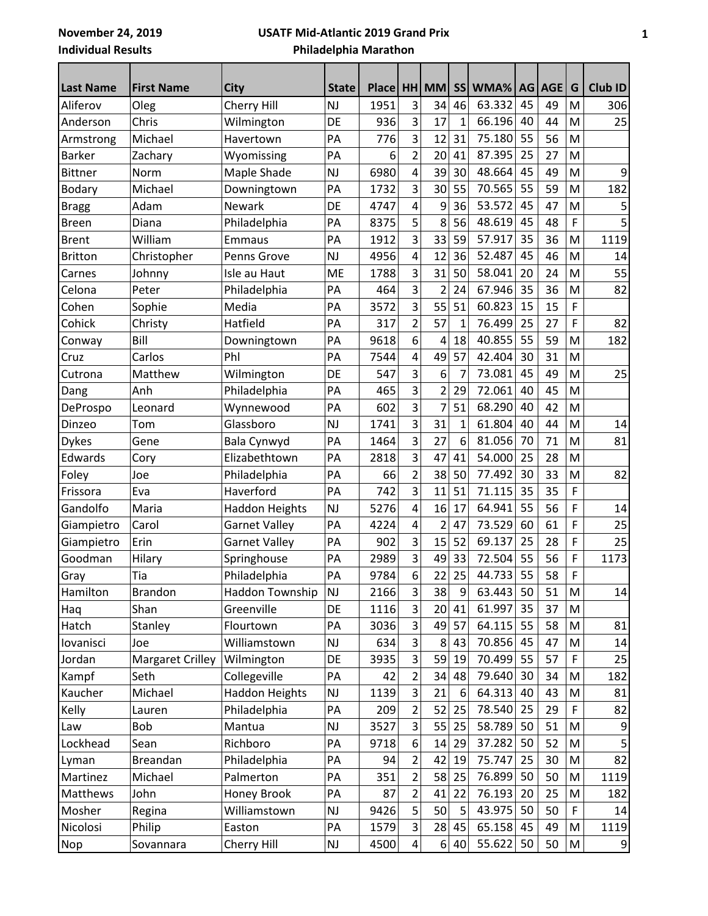**November 24, 2019 Individual Results**

## **USATF Mid-Atlantic 2019 Grand Prix Philadelphia Marathon**

| <b>Last Name</b> | <b>First Name</b>       | <b>City</b>           | <b>State</b>  | Place HH |                         | <b>MM</b>      | <b>SS</b>    | WMA%   |    | AG AGE | G           | Club ID        |
|------------------|-------------------------|-----------------------|---------------|----------|-------------------------|----------------|--------------|--------|----|--------|-------------|----------------|
| Aliferov         | Oleg                    | Cherry Hill           | <b>NJ</b>     | 1951     | 3                       | 34             | 46           | 63.332 | 45 | 49     | M           | 306            |
| Anderson         | Chris                   | Wilmington            | DE            | 936      | 3                       | 17             | $\mathbf{1}$ | 66.196 | 40 | 44     | M           | 25             |
| Armstrong        | Michael                 | Havertown             | PA            | 776      | 3                       | 12             | 31           | 75.180 | 55 | 56     | M           |                |
| <b>Barker</b>    | Zachary                 | Wyomissing            | PA            | 6        | $\overline{2}$          | 20             | 41           | 87.395 | 25 | 27     | M           |                |
| <b>Bittner</b>   | Norm                    | Maple Shade           | <b>NJ</b>     | 6980     | $\overline{\mathbf{4}}$ | 39             | 30           | 48.664 | 45 | 49     | M           | 9              |
| Bodary           | Michael                 | Downingtown           | PA            | 1732     | 3                       | 30             | 55           | 70.565 | 55 | 59     | M           | 182            |
| <b>Bragg</b>     | Adam                    | <b>Newark</b>         | DE            | 4747     | $\overline{4}$          | 9              | 36           | 53.572 | 45 | 47     | M           |                |
| <b>Breen</b>     | Diana                   | Philadelphia          | PA            | 8375     | 5                       | 8              | 56           | 48.619 | 45 | 48     | F           |                |
| <b>Brent</b>     | William                 | Emmaus                | PA            | 1912     | 3                       | 33             | 59           | 57.917 | 35 | 36     | M           | 1119           |
| <b>Britton</b>   | Christopher             | Penns Grove           | <b>NJ</b>     | 4956     | $\overline{\mathbf{4}}$ | 12             | 36           | 52.487 | 45 | 46     | M           | 14             |
| Carnes           | Johnny                  | Isle au Haut          | <b>ME</b>     | 1788     | 3                       | 31             | 50           | 58.041 | 20 | 24     | M           | 55             |
| Celona           | Peter                   | Philadelphia          | PA            | 464      | 3                       | $\overline{2}$ | 24           | 67.946 | 35 | 36     | M           | 82             |
| Cohen            | Sophie                  | Media                 | PA            | 3572     | $\overline{3}$          | 55             | 51           | 60.823 | 15 | 15     | F           |                |
| Cohick           | Christy                 | Hatfield              | PA            | 317      | $\overline{2}$          | 57             | $\mathbf 1$  | 76.499 | 25 | 27     | F           | 82             |
| Conway           | Bill                    | Downingtown           | PA            | 9618     | 6                       | 4              | 18           | 40.855 | 55 | 59     | M           | 182            |
| Cruz             | Carlos                  | Phl                   | PA            | 7544     | $\overline{\mathbf{4}}$ | 49             | 57           | 42.404 | 30 | 31     | M           |                |
| Cutrona          | Matthew                 | Wilmington            | DE            | 547      | $\overline{3}$          | 6              | 7            | 73.081 | 45 | 49     | M           | 25             |
| Dang             | Anh                     | Philadelphia          | PA            | 465      | 3                       | $\overline{2}$ | 29           | 72.061 | 40 | 45     | M           |                |
| DeProspo         | Leonard                 | Wynnewood             | PA            | 602      | 3                       | $\overline{7}$ | 51           | 68.290 | 40 | 42     | M           |                |
| Dinzeo           | Tom                     | Glassboro             | NJ            | 1741     | 3                       | 31             | 1            | 61.804 | 40 | 44     | M           | 14             |
| <b>Dykes</b>     | Gene                    | Bala Cynwyd           | PA            | 1464     | 3                       | 27             | 6            | 81.056 | 70 | 71     | M           | 81             |
| Edwards          | Cory                    | Elizabethtown         | PA            | 2818     | $\overline{3}$          | 47             | 41           | 54.000 | 25 | 28     | M           |                |
| Foley            | Joe                     | Philadelphia          | PA            | 66       | $\overline{2}$          | 38             | 50           | 77.492 | 30 | 33     | M           | 82             |
| Frissora         | Eva                     | Haverford             | PA            | 742      | 3                       | 11             | 51           | 71.115 | 35 | 35     | F           |                |
| Gandolfo         | Maria                   | <b>Haddon Heights</b> | NJ            | 5276     | $\overline{\mathbf{4}}$ | 16             | 17           | 64.941 | 55 | 56     | F           | 14             |
| Giampietro       | Carol                   | <b>Garnet Valley</b>  | PA            | 4224     | $\overline{\mathbf{4}}$ | $\overline{2}$ | 47           | 73.529 | 60 | 61     | F           | 25             |
| Giampietro       | Erin                    | <b>Garnet Valley</b>  | PA            | 902      | 3                       | 15             | 52           | 69.137 | 25 | 28     | F           | 25             |
| Goodman          | Hilary                  | Springhouse           | PA            | 2989     | $\overline{\mathbf{3}}$ | 49             | 33           | 72.504 | 55 | 56     | F           | 1173           |
| Gray             | Tia                     | Philadelphia          | PA            | 9784     | 6                       | 22             | 25           | 44.733 | 55 | 58     | F           |                |
| Hamilton         | <b>Brandon</b>          | Haddon Township       | <b>NJ</b>     | 2166     | 3                       | 38             | 9            | 63.443 | 50 | 51     | M           | 14             |
| Haq              | Shan                    | Greenville            | DE            | 1116     | 3                       | 20             | 41           | 61.997 | 35 | 37     | ${\sf M}$   |                |
| Hatch            | Stanley                 | Flourtown             | PA            | 3036     | 3                       | 49             | 57           | 64.115 | 55 | 58     | M           | 81             |
| lovanisci        | Joe                     | Williamstown          | $\mathsf{NJ}$ | 634      | $\overline{3}$          | 8              | 43           | 70.856 | 45 | 47     | M           | 14             |
| Jordan           | <b>Margaret Crilley</b> | Wilmington            | DE            | 3935     | 3                       | 59             | 19           | 70.499 | 55 | 57     | F           | 25             |
| Kampf            | Seth                    | Collegeville          | PA            | 42       | $\overline{2}$          | 34             | 48           | 79.640 | 30 | 34     | M           | 182            |
| Kaucher          | Michael                 | <b>Haddon Heights</b> | $\mathsf{NJ}$ | 1139     | 3                       | 21             | 6            | 64.313 | 40 | 43     | M           | 81             |
| Kelly            | Lauren                  | Philadelphia          | PA            | 209      | $\overline{2}$          | 52             | 25           | 78.540 | 25 | 29     | F           | 82             |
| Law              | Bob                     | Mantua                | $\mathsf{NJ}$ | 3527     | $\overline{3}$          | 55             | 25           | 58.789 | 50 | 51     | M           | 9              |
| Lockhead         | Sean                    | Richboro              | PA            | 9718     | 6                       | 14             | 29           | 37.282 | 50 | 52     | M           | 5              |
| Lyman            | Breandan                | Philadelphia          | PA            | 94       | $\overline{2}$          | 42             | 19           | 75.747 | 25 | 30     | ${\sf M}$   | 82             |
| Martinez         | Michael                 | Palmerton             | PA            | 351      | $\overline{2}$          | 58             | 25           | 76.899 | 50 | 50     | M           | 1119           |
| Matthews         | John                    | Honey Brook           | PA            | 87       | $\overline{2}$          | 41             | 22           | 76.193 | 20 | 25     | M           | 182            |
| Mosher           | Regina                  | Williamstown          | $\mathsf{NJ}$ | 9426     | 5                       | 50             | 5            | 43.975 | 50 | 50     | $\mathsf F$ | 14             |
| Nicolosi         | Philip                  | Easton                | PA            | 1579     | 3                       | 28             | 45           | 65.158 | 45 | 49     | M           | 1119           |
| Nop              | Sovannara               | Cherry Hill           | $\mathsf{NJ}$ | 4500     | $\overline{4}$          | $6 \mid$       | 40           | 55.622 | 50 | 50     | M           | $\overline{9}$ |